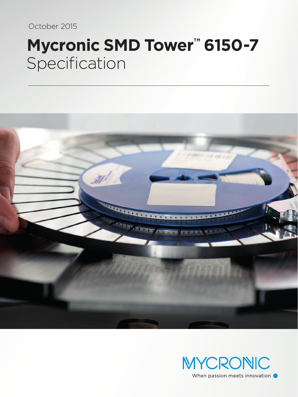October 2015

# **Mycronic SMD Tower™ 6150-7** Specification



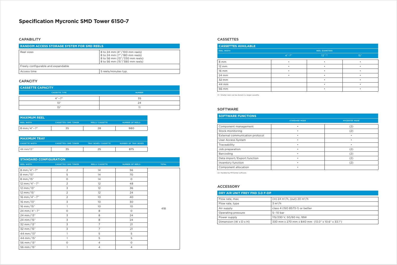## **Specification Mycronic SMD Tower 6150-7**

#### **CAPABILITY**

#### **STANDARD CONFIGURATION**

| <b>REEL WIDTH</b>      | <b>CASSETTES/SMD TOWER</b> | <b>REELS/CASSETTE</b> | <b>NUMBER OF REELS</b> | <b>TOTAL</b> |
|------------------------|----------------------------|-----------------------|------------------------|--------------|
| 8 mm/4"-7"             | 2                          | 14                    | 56                     |              |
| 8 mm/13"               | 5                          | 14                    | 70                     |              |
| 8 mm/15"               | $\circ$                    | 14                    | $\circ$                |              |
| 12 mm/4"-7"            | 2                          | 12                    | 48                     |              |
| 12 mm/13"              | $\mathsf 3$                | 12                    | 36                     |              |
| $12 \text{ mm} / 15$ " | $\overline{2}$             | 12                    | 24                     |              |
| 16 mm/4"-7"            | 2                          | 10 <sup>°</sup>       | 40                     |              |
| 16 mm/13"              | $\overline{\mathsf{S}}$    | 10 <sup>°</sup>       | 30                     |              |
| 16 mm/15"              |                            | 10 <sup>°</sup>       | 10 <sup>°</sup>        | 418          |
| 24 mm/4"-7"            | $\circ$                    | 8                     | $\circ$                |              |
| 24 mm/13"              | 3                          | $\,8\,$               | 24                     |              |
| 24 mm/15"              | 3                          | $\,8\,$               | 24                     |              |
| 32 mm/13"              | $\overline{\mathsf{S}}$    | 7                     | 21                     |              |
| 32 mm/15"              | 3                          | 7                     | 21                     |              |
| 44 mm/13"              |                            | 5                     | 5                      |              |
| 44 mm/15"              |                            | 5                     | 5                      |              |
| 56 mm/13"              | $\circ$                    | $\overline{4}$        | $\circ$                |              |
| 56 mm/15"              |                            | 4                     | $\overline{4}$         |              |

| <b>I MAXIMUM REEL</b> |                              |                       |                 |
|-----------------------|------------------------------|-----------------------|-----------------|
| <b>REEL WIDTH</b>     | <b>CASSETTES / SMD TOWER</b> | <b>REELS/CASSETTE</b> | NUMBER OF REELS |
| 8 mm/4"-7"            | 55                           |                       | 980             |

| <b>MAXIMUM TRAY</b>   |                              |                            |                      |
|-----------------------|------------------------------|----------------------------|----------------------|
| <b>CASSETTE WIDTH</b> | <b>CASSETTES / SMD TOWER</b> | <b>TRAY BOXES/CASSETTE</b> | NUMBER OF TRAY BOXES |
| $44$ mm/13"           | 35                           |                            | 875                  |

| <b>CASSETTE CAPACITY</b> |               |  |
|--------------------------|---------------|--|
| CASSETTE TYPE            | <b>NUMBER</b> |  |
| $4'' - 7''$              | スロ            |  |
| 1Z''                     | 24            |  |
| 15"                      |               |  |

| <b>CASSETTES AVAILABLE</b> |                       |            |      |
|----------------------------|-----------------------|------------|------|
| <b>REEL WIDTH</b>          | <b>REEL DIAMETERS</b> |            |      |
|                            | $4" - 7"$             | $13''$ (1) | 15'' |
| 8 mm                       | ٠                     |            |      |
| $12 \, \text{mm}$          | ٠                     |            |      |
| 16 mm                      | ٠                     |            |      |
| 24 mm                      | $\bullet$             |            |      |
| 32 mm                      |                       |            |      |
| 44 mm                      |                       |            |      |
| 56 mm                      |                       |            |      |

| <b>RANDOM ACCESS STORAGE SYSTEM FOR SMD REELS</b> |                                                                                                                                |  |
|---------------------------------------------------|--------------------------------------------------------------------------------------------------------------------------------|--|
| Reel sizes                                        | 8 to 24 mm (4"/100 mm reels)<br>8 to 24 mm (7"/180 mm reels)<br>8 to 56 mm (13"/330 mm reels)<br>8 to 56 mm (15"/380 mm reels) |  |
| Freely configurable and expandable                |                                                                                                                                |  |
| Access time                                       | 5 reels/minutes typ.                                                                                                           |  |

#### **CAPACITY**

#### CASSETTES

| DRY AIR UNIT FREY FND 3.0 F-DP      |                                                  |  |
|-------------------------------------|--------------------------------------------------|--|
| Flow rate, max                      | (in) 24 $\rm m^3/h$ , (out) 20 $\rm m^3/h$       |  |
| Flow rate, type                     | $3 \text{ m}^3/h$                                |  |
| Air supply                          | class 4 (ISO 8573-1) or better                   |  |
| Operating pressure                  | $5-10$ bar                                       |  |
| Power supply                        | 115/230 V, 50/60 Hz, 18W                         |  |
| Dimension (W $\times$ D $\times$ H) | 330 mm x 270 mm x 840 mm (13.0" x 10.6" x 33.1") |  |

#### ACCESSORY

| <b>SOFTWARE FUNCTIONS</b>       |                      |                      |
|---------------------------------|----------------------|----------------------|
|                                 | <b>STANDARD MODE</b> | <b>MYCENTER MODE</b> |
| Component management            |                      | (2)                  |
| Stock monitoring                | ٠                    | (2)                  |
| External communication protocol | ٠                    |                      |
| User Access System              |                      |                      |
| Traceability                    |                      |                      |
| Job preparation                 | ٠                    | (2)                  |
| Barcoding                       | ٠                    | (2)                  |
| Data import/Export function     | ٠                    | (2)                  |
| Inventory function              | ٠                    | (2)                  |
| Component allocation            | ٠                    |                      |

(2) Handled by MYCenter software.

(1) Smaller reels can be stored in a larger cassette.

### SOFTWARE